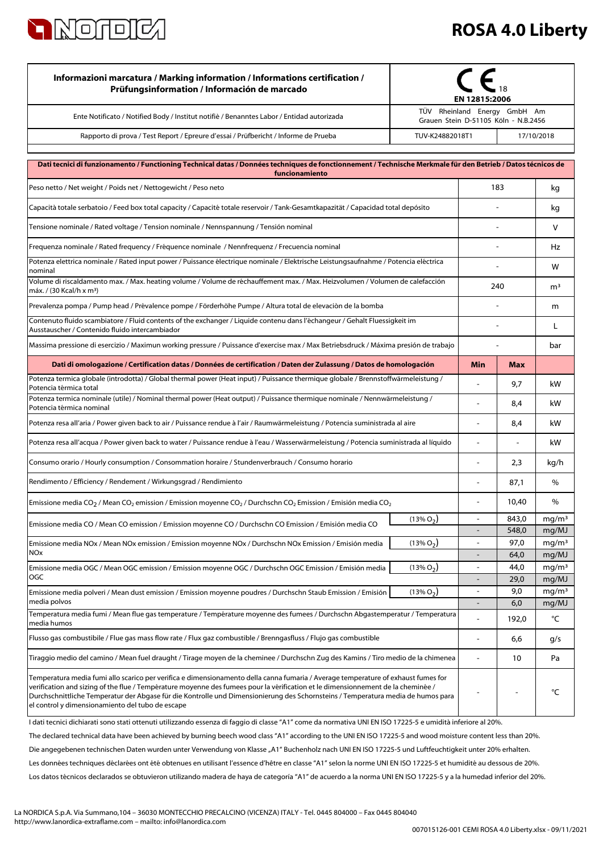

| Informazioni marcatura / Marking information / Informations certification /<br>Prüfungsinformation / Información de marcado                                                                                                                                                                                                                                                                                                                                   | EN 12815:2006<br>TÜV Rheinland Energy GmbH Am |                                  |                |                            |
|---------------------------------------------------------------------------------------------------------------------------------------------------------------------------------------------------------------------------------------------------------------------------------------------------------------------------------------------------------------------------------------------------------------------------------------------------------------|-----------------------------------------------|----------------------------------|----------------|----------------------------|
| Ente Notificato / Notified Body / Institut notifie / Benanntes Labor / Entidad autorizada                                                                                                                                                                                                                                                                                                                                                                     | Grauen Stein D-51105 Köln - N.B.2456          |                                  |                |                            |
| Rapporto di prova / Test Report / Epreure d'essai / Prüfbericht / Informe de Prueba                                                                                                                                                                                                                                                                                                                                                                           |                                               | TUV-K24882018T1<br>17/10/2018    |                |                            |
|                                                                                                                                                                                                                                                                                                                                                                                                                                                               |                                               |                                  |                |                            |
| Dati tecnici di funzionamento / Functioning Technical datas / Données techniques de fonctionnement / Technische Merkmale für den Betrieb / Datos técnicos de<br>funcionamiento                                                                                                                                                                                                                                                                                |                                               |                                  |                |                            |
| Peso netto / Net weight / Poids net / Nettogewicht / Peso neto                                                                                                                                                                                                                                                                                                                                                                                                |                                               | 183                              |                | kg                         |
| Capacità totale serbatoio / Feed box total capacity / Capacité totale reservoir / Tank-Gesamtkapazität / Capacidad total depósito                                                                                                                                                                                                                                                                                                                             |                                               |                                  |                | kg                         |
| Tensione nominale / Rated voltage / Tension nominale / Nennspannung / Tensión nominal                                                                                                                                                                                                                                                                                                                                                                         |                                               |                                  |                | v                          |
| Frequenza nominale / Rated frequency / Fréquence nominale / Nennfrequenz / Frecuencia nominal                                                                                                                                                                                                                                                                                                                                                                 |                                               |                                  |                | Hz                         |
| Potenza elettrica nominale / Rated input power / Puissance électrique nominale / Elektrische Leistungsaufnahme / Potencia eléctrica<br>nominal                                                                                                                                                                                                                                                                                                                |                                               |                                  |                | W                          |
| Volume di riscaldamento max. / Max. heating volume / Volume de réchauffement max. / Max. Heizvolumen / Volumen de calefacción<br>máx. / (30 Kcal/h x m <sup>3</sup> )                                                                                                                                                                                                                                                                                         |                                               |                                  | 240            |                            |
| Prevalenza pompa / Pump head / Prévalence pompe / Förderhöhe Pumpe / Altura total de elevaciòn de la bomba                                                                                                                                                                                                                                                                                                                                                    |                                               |                                  |                | m                          |
| Contenuto fluido scambiatore / Fluid contents of the exchanger / Liquide contenu dans l'échangeur / Gehalt Fluessigkeit im<br>Ausstauscher / Contenido fluido intercambiador                                                                                                                                                                                                                                                                                  |                                               |                                  |                | L                          |
| Massima pressione di esercizio / Maximun working pressure / Puissance d'exercise max / Max Betriebsdruck / Máxima presión de trabajo                                                                                                                                                                                                                                                                                                                          |                                               |                                  |                | bar                        |
| Dati di omologazione / Certification datas / Données de certification / Daten der Zulassung / Datos de homologación                                                                                                                                                                                                                                                                                                                                           |                                               | <b>Min</b>                       | <b>Max</b>     |                            |
| Potenza termica globale (introdotta) / Global thermal power (Heat input) / Puissance thermique globale / Brennstoffwärmeleistung /<br>Potencia térmica total                                                                                                                                                                                                                                                                                                  |                                               |                                  | 9,7            | kW                         |
| Potenza termica nominale (utile) / Nominal thermal power (Heat output) / Puissance thermique nominale / Nennwärmeleistung /<br>Potencia térmica nominal                                                                                                                                                                                                                                                                                                       |                                               | ä,                               | 8,4            | kW                         |
| Potenza resa all'aria / Power given back to air / Puissance rendue à l'air / Raumwärmeleistung / Potencia suministrada al aire                                                                                                                                                                                                                                                                                                                                |                                               | $\blacksquare$                   | 8,4            | kW                         |
| Potenza resa all'acqua / Power given back to water / Puissance rendue à l'eau / Wasserwärmeleistung / Potencia suministrada al líquido                                                                                                                                                                                                                                                                                                                        |                                               |                                  |                | kW                         |
| Consumo orario / Hourly consumption / Consommation horaire / Stundenverbrauch / Consumo horario                                                                                                                                                                                                                                                                                                                                                               |                                               |                                  | 2,3            | kg/h                       |
| Rendimento / Efficiency / Rendement / Wirkungsgrad / Rendimiento                                                                                                                                                                                                                                                                                                                                                                                              |                                               | ä,                               | 87,1           | %                          |
| Emissione media CO <sub>2</sub> / Mean CO <sub>2</sub> emission / Emission moyenne CO <sub>2</sub> / Durchschn CO <sub>2</sub> Emission / Emisión media CO <sub>2</sub>                                                                                                                                                                                                                                                                                       |                                               | ÷,                               | 10,40          | %                          |
| Emissione media CO / Mean CO emission / Emission moyenne CO / Durchschn CO Emission / Emisión media CO                                                                                                                                                                                                                                                                                                                                                        | $(13\% O_2)$                                  |                                  | 843,0<br>548,0 | mg/m <sup>3</sup><br>mg/MJ |
| Emissione media NOx / Mean NOx emission / Emission moyenne NOx / Durchschn NOx Emission / Emisión media                                                                                                                                                                                                                                                                                                                                                       | $(13\% O_2)$                                  | $\blacksquare$                   | 97,0           | mg/m <sup>3</sup>          |
| <b>NO<sub>x</sub></b>                                                                                                                                                                                                                                                                                                                                                                                                                                         |                                               | $\overline{a}$<br>$\blacksquare$ | 64,0           | mg/MJ                      |
| Emissione media OGC / Mean OGC emission / Emission moyenne OGC / Durchschn OGC Emission / Emisión media<br>OGC                                                                                                                                                                                                                                                                                                                                                | $(13\% O_2)$                                  |                                  | 44,0<br>29,0   | mg/m <sup>3</sup><br>mg/MJ |
| Emissione media polveri / Mean dust emission / Emission moyenne poudres / Durchschn Staub Emission / Emisión<br>media polvos                                                                                                                                                                                                                                                                                                                                  | $(13\% O_2)$                                  | $\blacksquare$<br>$\overline{a}$ | 9,0<br>6,0     | mq/m <sup>3</sup><br>mg/MJ |
| Temperatura media fumi / Mean flue gas temperature / Température moyenne des fumees / Durchschn Abgastemperatur / Temperatura                                                                                                                                                                                                                                                                                                                                 |                                               |                                  | 192,0          | °C                         |
| media humos<br>Flusso gas combustibile / Flue gas mass flow rate / Flux gaz combustible / Brenngasfluss / Flujo gas combustible                                                                                                                                                                                                                                                                                                                               |                                               | ä,                               | 6,6            | g/s                        |
| Tiraggio medio del camino / Mean fuel draught / Tirage moyen de la cheminee / Durchschn Zug des Kamins / Tiro medio de la chimenea                                                                                                                                                                                                                                                                                                                            |                                               |                                  | 10             | Pa                         |
| Temperatura media fumi allo scarico per verifica e dimensionamento della canna fumaria / Average temperature of exhaust fumes for<br>verification and sizing of the flue / Température moyenne des fumees pour la vérification et le dimensionnement de la cheminée /<br>Durchschnittliche Temperatur der Abgase für die Kontrolle und Dimensionierung des Schornsteins / Temperatura media de humos para<br>el control y dimensionamiento del tubo de escape |                                               |                                  |                | °C                         |

The declared technical data have been achieved by burning beech wood class "A1" according to the UNI EN ISO 17225-5 and wood moisture content less than 20%. I dati tecnici dichiarati sono stati ottenuti utilizzando essenza di faggio di classe "A1" come da normativa UNI EN ISO 17225-5 e umidità inferiore al 20%. Die angegebenen technischen Daten wurden unter Verwendung von Klasse "A1" Buchenholz nach UNI EN ISO 17225-5 und Luftfeuchtigkeit unter 20% erhalten.

Les données techniques déclarées ont été obtenues en utilisant l'essence d'hêtre en classe "A1" selon la norme UNI EN ISO 17225-5 et humidité au dessous de 20%.

Los datos técnicos declarados se obtuvieron utilizando madera de haya de categoría "A1" de acuerdo a la norma UNI EN ISO 17225-5 y a la humedad inferior del 20%.